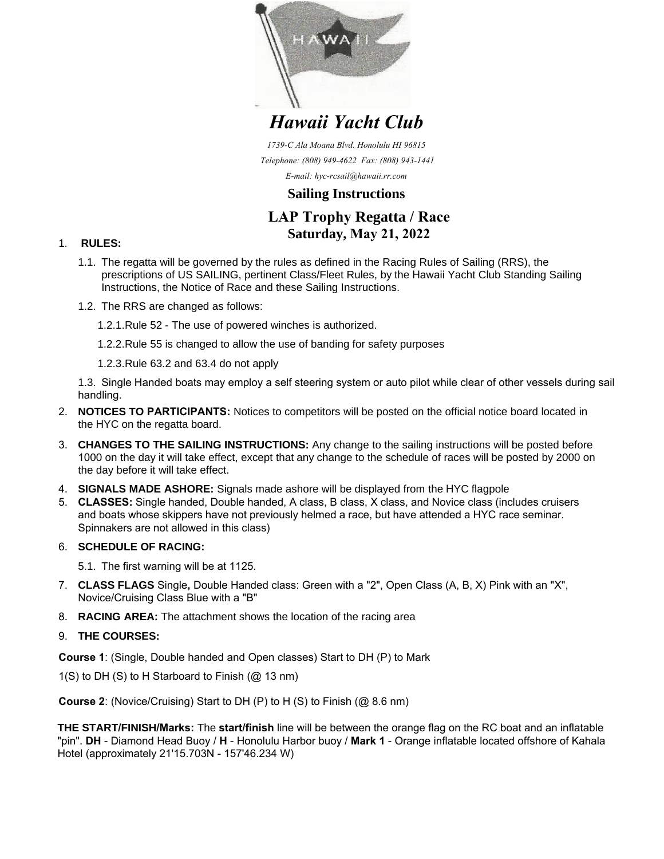

*Hawaii Yacht Club*

*1739-C Ala Moana Blvd. Honolulu HI 96815 Telephone: (808) 949-4622 Fax: (808) 943-1441 E-mail: hyc-rcsail@hawaii.rr.com*

## **Sailing Instructions**

# **LAP Trophy Regatta / Race Saturday, May 21, 2022**

#### 1. **RULES:**

- 1.1. The regatta will be governed by the rules as defined in the Racing Rules of Sailing (RRS), the prescriptions of US SAILING, pertinent Class/Fleet Rules, by the Hawaii Yacht Club Standing Sailing Instructions, the Notice of Race and these Sailing Instructions.
- 1.2. The RRS are changed as follows:

1.2.1. Rule 52 - The use of powered winches is authorized.

1.2.2. Rule 55 is changed to allow the use of banding for safety purposes

1.2.3. Rule 63.2 and 63.4 do not apply

1.3. Single Handed boats may employ a self steering system or auto pilot while clear of other vessels during sail handling.

- 2. **NOTICES TO PARTICIPANTS:** Notices to competitors will be posted on the official notice board located in the HYC on the regatta board.
- 3. **CHANGES TO THE SAILING INSTRUCTIONS:** Any change to the sailing instructions will be posted before 1000 on the day it will take effect, except that any change to the schedule of races will be posted by 2000 on the day before it will take effect.
- 4. **SIGNALS MADE ASHORE:** Signals made ashore will be displayed from the HYC flagpole
- 5. **CLASSES:** Single handed, Double handed, A class, B class, X class, and Novice class (includes cruisers and boats whose skippers have not previously helmed a race, but have attended a HYC race seminar. Spinnakers are not allowed in this class)

### 6. **SCHEDULE OF RACING:**

5.1. The first warning will be at 1125.

- 7. **CLASS FLAGS** Single**,** Double Handed class: Green with a "2", Open Class (A, B, X) Pink with an "X", Novice/Cruising Class Blue with a "B"
- 8. **RACING AREA:** The attachment shows the location of the racing area
- 9. **THE COURSES:**

**Course 1**: (Single, Double handed and Open classes) Start to DH (P) to Mark

1(S) to DH (S) to H Starboard to Finish  $(Q<sub>2</sub> 13 nm)$ 

**Course 2**: (Novice/Cruising) Start to DH (P) to H (S) to Finish (@ 8.6 nm)

**THE START/FINISH/Marks:** The **start/finish** line will be between the orange flag on the RC boat and an inflatable "pin". **DH** - Diamond Head Buoy / **H** - Honolulu Harbor buoy / **Mark 1** - Orange inflatable located offshore of Kahala Hotel (approximately 21'15.703N - 157'46.234 W)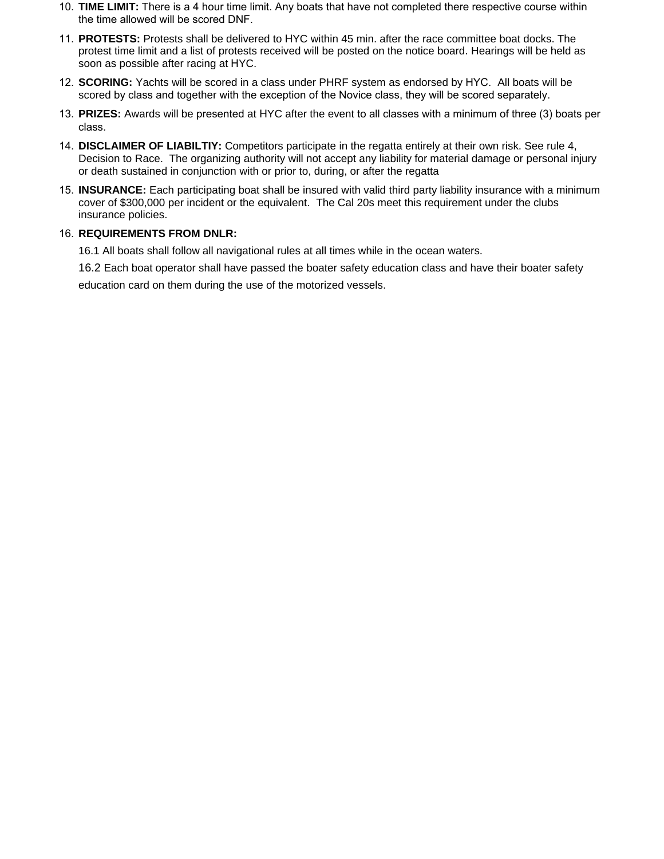- 10. **TIME LIMIT:** There is a 4 hour time limit. Any boats that have not completed there respective course within the time allowed will be scored DNF.
- 11. **PROTESTS:** Protests shall be delivered to HYC within 45 min. after the race committee boat docks. The protest time limit and a list of protests received will be posted on the notice board. Hearings will be held as soon as possible after racing at HYC.
- 12. **SCORING:** Yachts will be scored in a class under PHRF system as endorsed by HYC. All boats will be scored by class and together with the exception of the Novice class, they will be scored separately.
- 13. **PRIZES:** Awards will be presented at HYC after the event to all classes with a minimum of three (3) boats per class.
- 14. **DISCLAIMER OF LIABILTIY:** Competitors participate in the regatta entirely at their own risk. See rule 4, Decision to Race. The organizing authority will not accept any liability for material damage or personal injury or death sustained in conjunction with or prior to, during, or after the regatta
- 15. **INSURANCE:** Each participating boat shall be insured with valid third party liability insurance with a minimum cover of \$300,000 per incident or the equivalent. The Cal 20s meet this requirement under the clubs insurance policies.

#### 16. **REQUIREMENTS FROM DNLR:**

16.1 All boats shall follow all navigational rules at all times while in the ocean waters.

16.2 Each boat operator shall have passed the boater safety education class and have their boater safety

education card on them during the use of the motorized vessels.